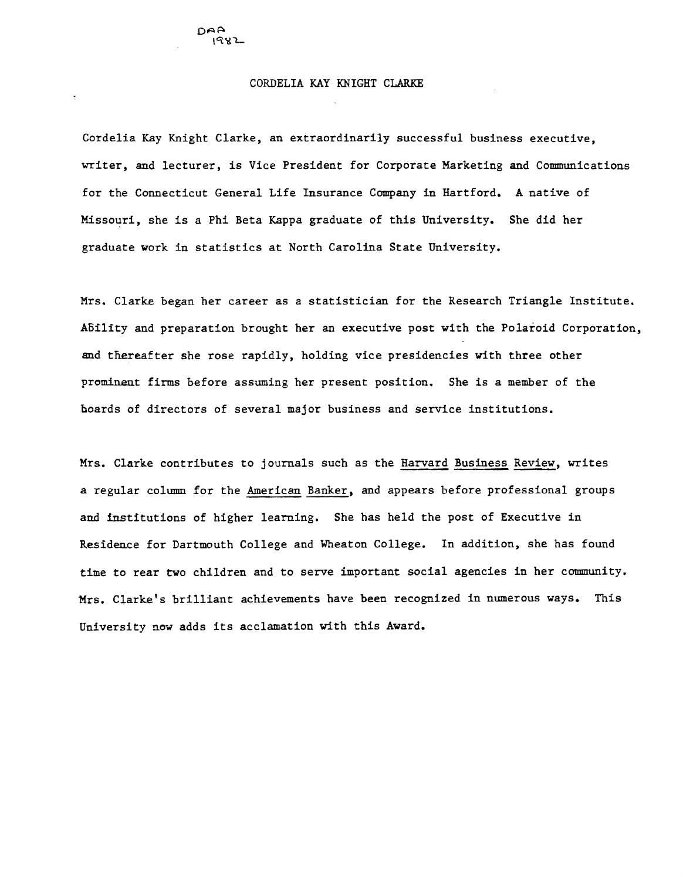DAA 1982

Cordelia Kay Knight Clarke, an extraordinarily successful business executive, writer, and lecturer, is Vice President for Corporate Marketing and Communications for the Connecticut General Life Insurance Company in Hartford. A native of Missouri, she is a Phi Beta Kappa graduate of this University. She did her graduate work in statistics at North Carolina State University.

Mrs. Clarke began her career as a statistician for the Research Triangle Institute. ABility and preparation brought her an executive post with the Polaroid Corporation, and thereafter she rose rapidly, holding vice presidencies with three other prominent firms before assuming her present position. She is a member of the hoards of directors of several major business and service institutions.

Mrs. Clarke contributes to journals such as the Harvard Business Review, writes a regular column for the American Banker, and appears before professional groups and institutions of higher learning. She has held the post of Executive in Residence for Dartmouth College and Wheaton College. In addition, she has found time to rear two children and to serve important social agencies in her community. Mrs. Clarke's brilliant achievements have been recognized in numerous ways. This University now adds its acclamation with this Award.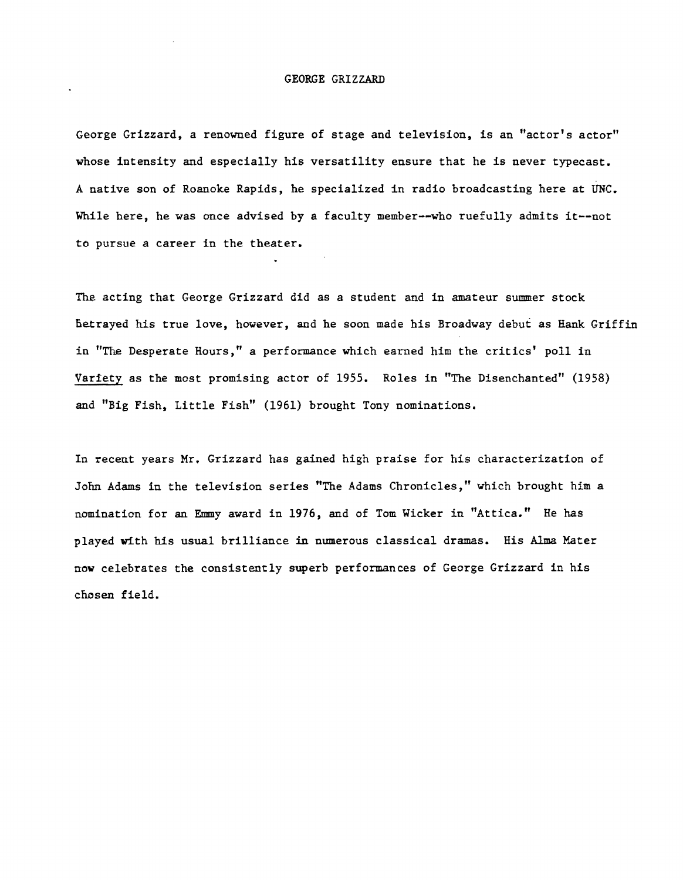## GEORGE GRIZZARD

George Grizzard, a renowned figure of stage and television, is an "actor's actor" whose intensity and especially his versatility ensure that he is never typecast. A native son of Roanoke Rapids, he specialized in radio broadcasting here at UNC. While here, he was once advised by a faculty member--who ruefully admits it--not to pursue a career in the theater.

The acting that George Grizzard did as a student and in amateur summer stock Betrayed his true love, however, and he soon made his Broadway debut as Hank Griffin in "The Desperate Hours," a performance which earned him the critics' poll in Variety as the most promising actor of 1955. Roles in "The Disenchanted" (1958) and "Big Fish, Little Fish" (1961) brought Tony nominations.

In recent years Mr. Grizzard has gained high praise for his characterization of JOM Adams in the television series "The Adams Chronicles," which brought him a nomination for an Emmy award in 1976, and of Tom Wicker in "Attica." He has played with his usual brilliance in numerous classical dramas. His Alma Mater now celebrates the consistently superb performances of George Grizzard in his chosen field.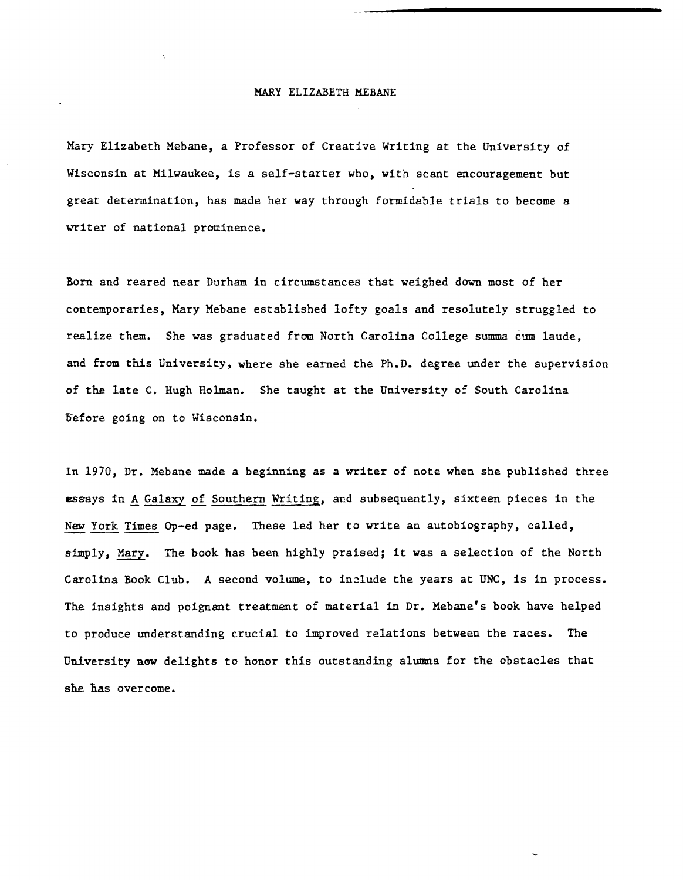## MARY ELIZABETH MEBANE

Mary Elizabeth Mebane, a Professor of Creative Writing at the University of Wisconsin at Milwaukee, is a self-starter who, with scant encouragement but great determination, has made her way through formidable trials to become a writer of national prominence.

Born and reared near Durham in circumstances that weighed down most of her contemporaries, Mary Mebane established lofty goals and resolutely struggled to realize them. She was graduated from North Carolina College summa cum laude, and from this University, where she earned the Ph.D. degree under the supervision of the late C. Hugh Holman. She taught at the University of South Carolina before going on to Wisconsin.

In 1970, Dr. Mebane made a beginning as a writer of note when she published three essays in A Galaxy of Southern Writing, and subsequently, sixteen pieces in the New York Times Op-ed page. These led her to write an autobiography, called, simply, Mary. The book has been highly praised; it was a selection of the North Carolina Book Club. A second volume, to include the years at UNC, is in process. The insights and poignant treatment of material in Dr. Mebane's book have helped to produce understanding crucial to improved relations between the races. The University now delights to honor this outstanding alumna for the obstacles that she has overcome.